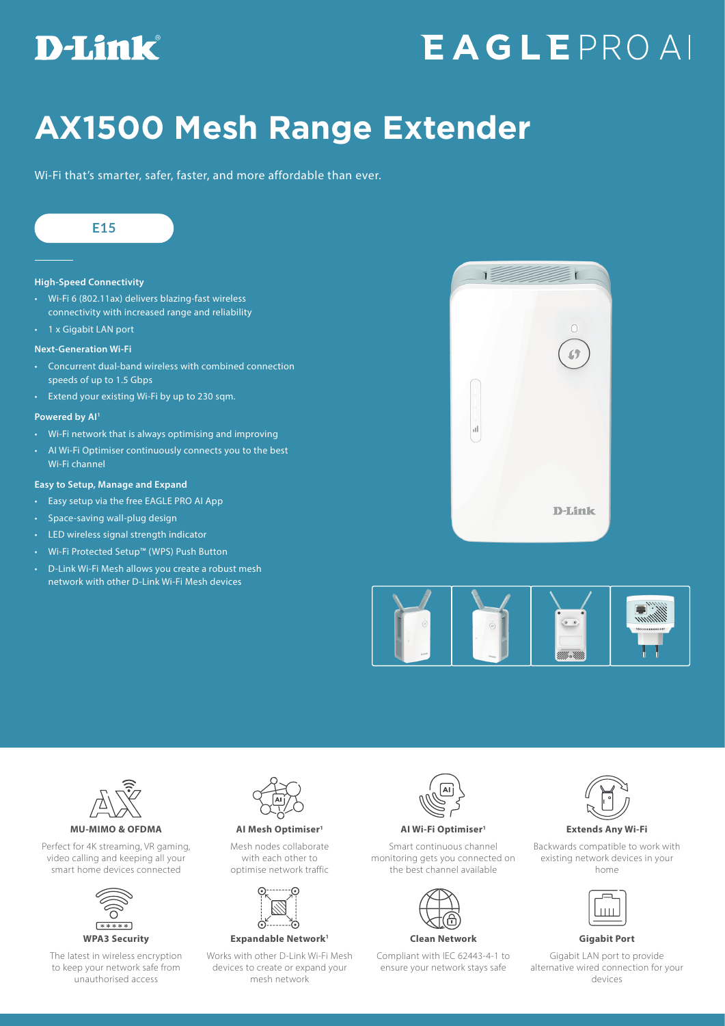## D-Link®

# EAGLEPROAL

## **AX1500 Mesh Range Extender**

Wi-Fi that's smarter, safer, faster, and more affordable than ever.



#### **High-Speed Connectivity**

- Wi-Fi 6 (802.11ax) delivers blazing-fast wireless connectivity with increased range and reliability
- 1 x Gigabit LAN port

#### **Next-Generation Wi-Fi**

- Concurrent dual-band wireless with combined connection speeds of up to 1.5 Gbps
- Extend your existing Wi-Fi by up to 230 sqm.

#### **Powered by AI1**

- Wi-Fi network that is always optimising and improving
- AI Wi-Fi Optimiser continuously connects you to the best Wi-Fi channel

#### **Easy to Setup, Manage and Expand**

- Easy setup via the free EAGLE PRO AI App
- Space-saving wall-plug design
- LED wireless signal strength indicator
- Wi-Fi Protected Setup™ (WPS) Push Button
- D-Link Wi-Fi Mesh allows you create a robust mesh network with other D-Link Wi-Fi Mesh devices







Perfect for 4K streaming, VR gaming, video calling and keeping all your smart home devices connected



The latest in wireless encryption to keep your network safe from unauthorised access



Mesh nodes collaborate with each other to optimise network traffic



**WPA3 Security Expandable Network1 Clean Network Gigabit Port**

Works with other D-Link Wi-Fi Mesh devices to create or expand your mesh network



#### **MU-MIMO & OFDMA AI Mesh Optimiser1 AI Wi-Fi Optimiser1 Extends Any Wi-Fi**

Smart continuous channel monitoring gets you connected on the best channel available



Compliant with IEC 62443-4-1 to ensure your network stays safe



Backwards compatible to work with existing network devices in your home

Gigabit LAN port to provide alternative wired connection for your devices